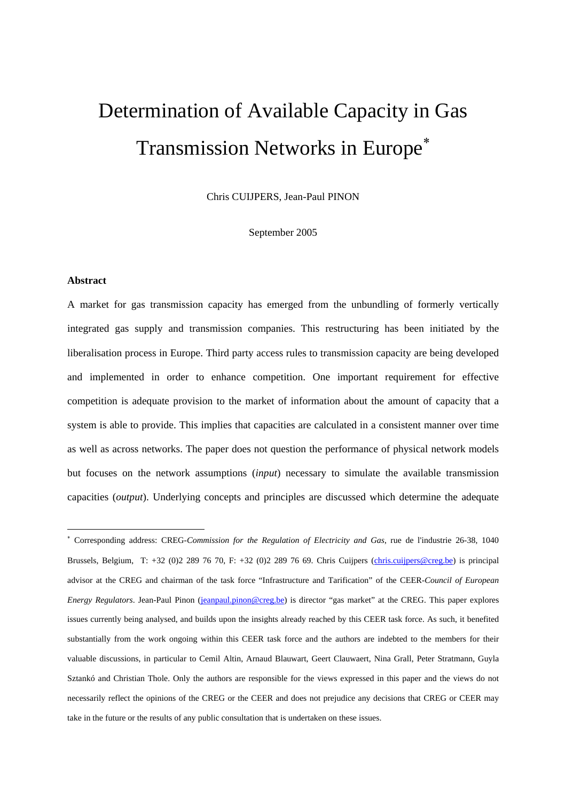# Determination of Available Capacity in Gas Transmission Networks in Europe<sup>\*</sup>

Chris CUIJPERS, Jean-Paul PINON

September 2005

#### **Abstract**

1

A market for gas transmission capacity has emerged from the unbundling of formerly vertically integrated gas supply and transmission companies. This restructuring has been initiated by the liberalisation process in Europe. Third party access rules to transmission capacity are being developed and implemented in order to enhance competition. One important requirement for effective competition is adequate provision to the market of information about the amount of capacity that a system is able to provide. This implies that capacities are calculated in a consistent manner over time as well as across networks. The paper does not question the performance of physical network models but focuses on the network assumptions (*input*) necessary to simulate the available transmission capacities (*output*). Underlying concepts and principles are discussed which determine the adequate

<sup>∗</sup> Corresponding address: CREG-*Commission for the Regulation of Electricity and Gas*, rue de l'industrie 26-38, 1040 Brussels, Belgium, T: +32 (0)2 289 76 70, F: +32 (0)2 289 76 69. Chris Cuijpers (chris.cuijpers@creg.be) is principal advisor at the CREG and chairman of the task force "Infrastructure and Tarification" of the CEER-*Council of European Energy Regulators*. Jean-Paul Pinon (jeanpaul.pinon@creg.be) is director "gas market" at the CREG. This paper explores issues currently being analysed, and builds upon the insights already reached by this CEER task force. As such, it benefited substantially from the work ongoing within this CEER task force and the authors are indebted to the members for their valuable discussions, in particular to Cemil Altin, Arnaud Blauwart, Geert Clauwaert, Nina Grall, Peter Stratmann, Guyla Sztankó and Christian Thole. Only the authors are responsible for the views expressed in this paper and the views do not necessarily reflect the opinions of the CREG or the CEER and does not prejudice any decisions that CREG or CEER may take in the future or the results of any public consultation that is undertaken on these issues.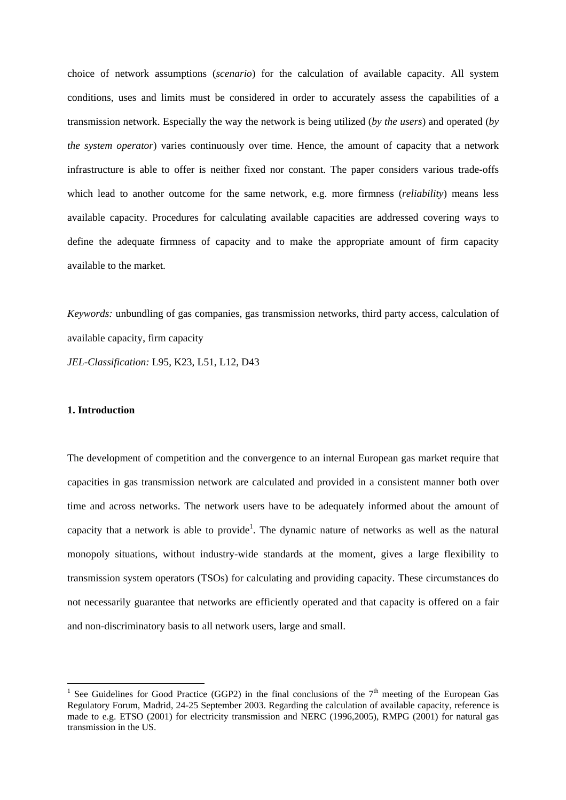choice of network assumptions (*scenario*) for the calculation of available capacity. All system conditions, uses and limits must be considered in order to accurately assess the capabilities of a transmission network. Especially the way the network is being utilized (*by the users*) and operated (*by the system operator*) varies continuously over time. Hence, the amount of capacity that a network infrastructure is able to offer is neither fixed nor constant. The paper considers various trade-offs which lead to another outcome for the same network, e.g. more firmness (*reliability*) means less available capacity. Procedures for calculating available capacities are addressed covering ways to define the adequate firmness of capacity and to make the appropriate amount of firm capacity available to the market.

*Keywords:* unbundling of gas companies, gas transmission networks, third party access, calculation of available capacity, firm capacity

*JEL-Classification:* L95, K23, L51, L12, D43

# **1. Introduction**

1

The development of competition and the convergence to an internal European gas market require that capacities in gas transmission network are calculated and provided in a consistent manner both over time and across networks. The network users have to be adequately informed about the amount of capacity that a network is able to provide<sup>1</sup>. The dynamic nature of networks as well as the natural monopoly situations, without industry-wide standards at the moment, gives a large flexibility to transmission system operators (TSOs) for calculating and providing capacity. These circumstances do not necessarily guarantee that networks are efficiently operated and that capacity is offered on a fair and non-discriminatory basis to all network users, large and small.

<sup>&</sup>lt;sup>1</sup> See Guidelines for Good Practice (GGP2) in the final conclusions of the  $7<sup>th</sup>$  meeting of the European Gas Regulatory Forum, Madrid, 24-25 September 2003. Regarding the calculation of available capacity, reference is made to e.g. ETSO (2001) for electricity transmission and NERC (1996,2005), RMPG (2001) for natural gas transmission in the US.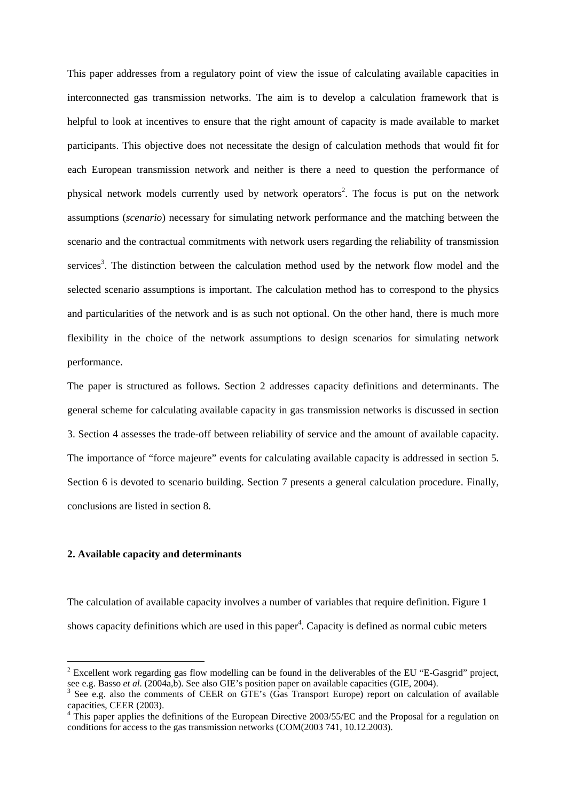This paper addresses from a regulatory point of view the issue of calculating available capacities in interconnected gas transmission networks. The aim is to develop a calculation framework that is helpful to look at incentives to ensure that the right amount of capacity is made available to market participants. This objective does not necessitate the design of calculation methods that would fit for each European transmission network and neither is there a need to question the performance of physical network models currently used by network operators<sup>2</sup>. The focus is put on the network assumptions (*scenario*) necessary for simulating network performance and the matching between the scenario and the contractual commitments with network users regarding the reliability of transmission services<sup>3</sup>. The distinction between the calculation method used by the network flow model and the selected scenario assumptions is important. The calculation method has to correspond to the physics and particularities of the network and is as such not optional. On the other hand, there is much more flexibility in the choice of the network assumptions to design scenarios for simulating network performance.

The paper is structured as follows. Section 2 addresses capacity definitions and determinants. The general scheme for calculating available capacity in gas transmission networks is discussed in section 3. Section 4 assesses the trade-off between reliability of service and the amount of available capacity. The importance of "force majeure" events for calculating available capacity is addressed in section 5. Section 6 is devoted to scenario building. Section 7 presents a general calculation procedure. Finally, conclusions are listed in section 8.

## **2. Available capacity and determinants**

1

The calculation of available capacity involves a number of variables that require definition. Figure 1 shows capacity definitions which are used in this paper<sup>4</sup>. Capacity is defined as normal cubic meters

 $2^2$  Excellent work regarding gas flow modelling can be found in the deliverables of the EU "E-Gasgrid" project, see e.g. Basso *et al.* (2004a,b). See also GIE's position paper on available capacities (GIE, 2004).

See e.g. also the comments of CEER on GTE's (Gas Transport Europe) report on calculation of available capacities, CEER (2003).

<sup>&</sup>lt;sup>4</sup> This paper applies the definitions of the European Directive 2003/55/EC and the Proposal for a regulation on conditions for access to the gas transmission networks (COM(2003 741, 10.12.2003).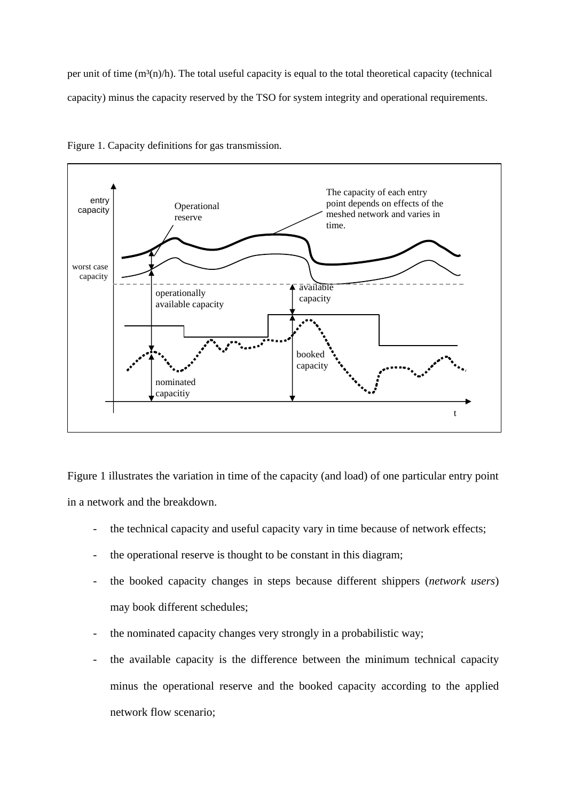per unit of time  $(m<sup>3</sup>(n)/h)$ . The total useful capacity is equal to the total theoretical capacity (technical capacity) minus the capacity reserved by the TSO for system integrity and operational requirements.



Figure 1. Capacity definitions for gas transmission.

Figure 1 illustrates the variation in time of the capacity (and load) of one particular entry point in a network and the breakdown.

- the technical capacity and useful capacity vary in time because of network effects;
- the operational reserve is thought to be constant in this diagram;
- the booked capacity changes in steps because different shippers (*network users*) may book different schedules;
- the nominated capacity changes very strongly in a probabilistic way;
- the available capacity is the difference between the minimum technical capacity minus the operational reserve and the booked capacity according to the applied network flow scenario;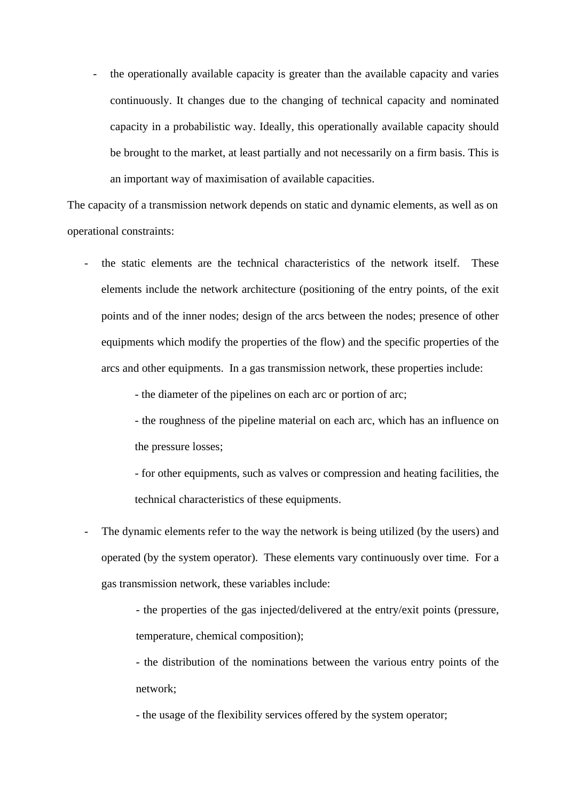the operationally available capacity is greater than the available capacity and varies continuously. It changes due to the changing of technical capacity and nominated capacity in a probabilistic way. Ideally, this operationally available capacity should be brought to the market, at least partially and not necessarily on a firm basis. This is an important way of maximisation of available capacities.

The capacity of a transmission network depends on static and dynamic elements, as well as on operational constraints:

the static elements are the technical characteristics of the network itself. These elements include the network architecture (positioning of the entry points, of the exit points and of the inner nodes; design of the arcs between the nodes; presence of other equipments which modify the properties of the flow) and the specific properties of the arcs and other equipments. In a gas transmission network, these properties include:

- the diameter of the pipelines on each arc or portion of arc;

- the roughness of the pipeline material on each arc, which has an influence on the pressure losses;

- for other equipments, such as valves or compression and heating facilities, the technical characteristics of these equipments.

The dynamic elements refer to the way the network is being utilized (by the users) and operated (by the system operator). These elements vary continuously over time. For a gas transmission network, these variables include:

> - the properties of the gas injected/delivered at the entry/exit points (pressure, temperature, chemical composition);

> - the distribution of the nominations between the various entry points of the network;

- the usage of the flexibility services offered by the system operator;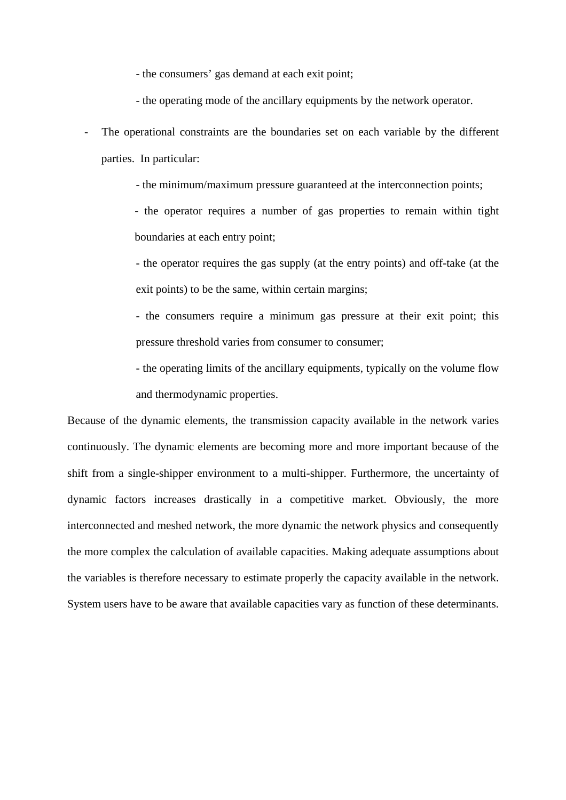- the consumers' gas demand at each exit point;

- the operating mode of the ancillary equipments by the network operator.

- The operational constraints are the boundaries set on each variable by the different parties. In particular:
	- the minimum/maximum pressure guaranteed at the interconnection points;

- the operator requires a number of gas properties to remain within tight boundaries at each entry point;

- the operator requires the gas supply (at the entry points) and off-take (at the exit points) to be the same, within certain margins;

- the consumers require a minimum gas pressure at their exit point; this pressure threshold varies from consumer to consumer;

- the operating limits of the ancillary equipments, typically on the volume flow and thermodynamic properties.

Because of the dynamic elements, the transmission capacity available in the network varies continuously. The dynamic elements are becoming more and more important because of the shift from a single-shipper environment to a multi-shipper. Furthermore, the uncertainty of dynamic factors increases drastically in a competitive market. Obviously, the more interconnected and meshed network, the more dynamic the network physics and consequently the more complex the calculation of available capacities. Making adequate assumptions about the variables is therefore necessary to estimate properly the capacity available in the network. System users have to be aware that available capacities vary as function of these determinants.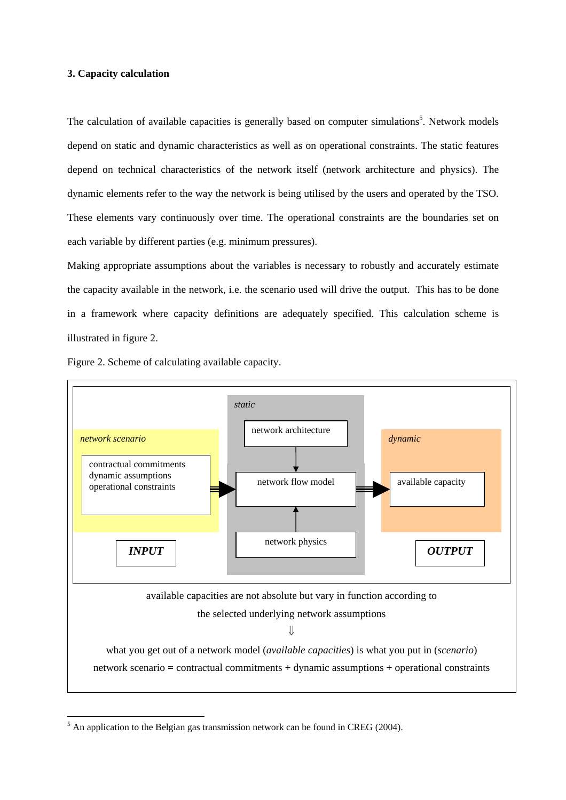# **3. Capacity calculation**

The calculation of available capacities is generally based on computer simulations<sup>5</sup>. Network models depend on static and dynamic characteristics as well as on operational constraints. The static features depend on technical characteristics of the network itself (network architecture and physics). The dynamic elements refer to the way the network is being utilised by the users and operated by the TSO. These elements vary continuously over time. The operational constraints are the boundaries set on each variable by different parties (e.g. minimum pressures).

Making appropriate assumptions about the variables is necessary to robustly and accurately estimate the capacity available in the network, i.e. the scenario used will drive the output. This has to be done in a framework where capacity definitions are adequately specified. This calculation scheme is illustrated in figure 2.

Figure 2. Scheme of calculating available capacity.



 $<sup>5</sup>$  An application to the Belgian gas transmission network can be found in CREG (2004).</sup>

1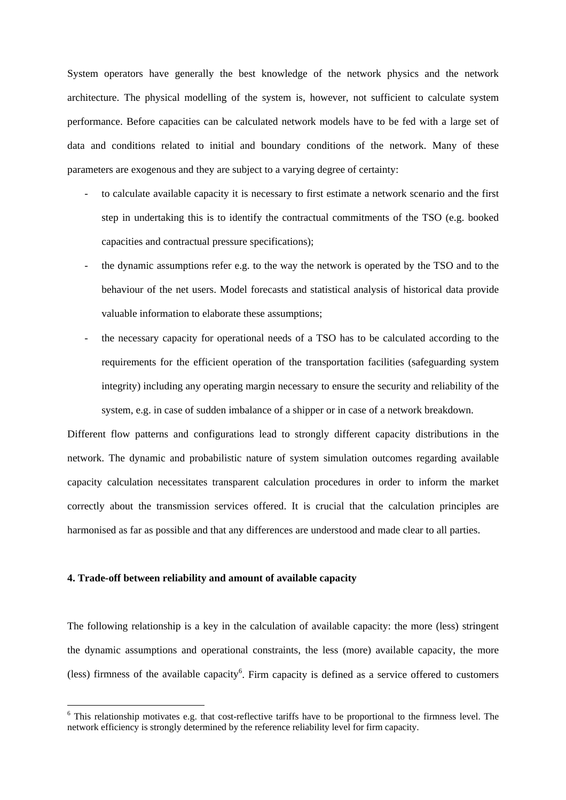System operators have generally the best knowledge of the network physics and the network architecture. The physical modelling of the system is, however, not sufficient to calculate system performance. Before capacities can be calculated network models have to be fed with a large set of data and conditions related to initial and boundary conditions of the network. Many of these parameters are exogenous and they are subject to a varying degree of certainty:

- to calculate available capacity it is necessary to first estimate a network scenario and the first step in undertaking this is to identify the contractual commitments of the TSO (e.g. booked capacities and contractual pressure specifications);
- the dynamic assumptions refer e.g. to the way the network is operated by the TSO and to the behaviour of the net users. Model forecasts and statistical analysis of historical data provide valuable information to elaborate these assumptions;
- the necessary capacity for operational needs of a TSO has to be calculated according to the requirements for the efficient operation of the transportation facilities (safeguarding system integrity) including any operating margin necessary to ensure the security and reliability of the system, e.g. in case of sudden imbalance of a shipper or in case of a network breakdown.

Different flow patterns and configurations lead to strongly different capacity distributions in the network. The dynamic and probabilistic nature of system simulation outcomes regarding available capacity calculation necessitates transparent calculation procedures in order to inform the market correctly about the transmission services offered. It is crucial that the calculation principles are harmonised as far as possible and that any differences are understood and made clear to all parties.

## **4. Trade-off between reliability and amount of available capacity**

1

The following relationship is a key in the calculation of available capacity: the more (less) stringent the dynamic assumptions and operational constraints, the less (more) available capacity, the more (less) firmness of the available capacity<sup>6</sup>. Firm capacity is defined as a service offered to customers

<sup>&</sup>lt;sup>6</sup> This relationship motivates e.g. that cost-reflective tariffs have to be proportional to the firmness level. The network efficiency is strongly determined by the reference reliability level for firm capacity.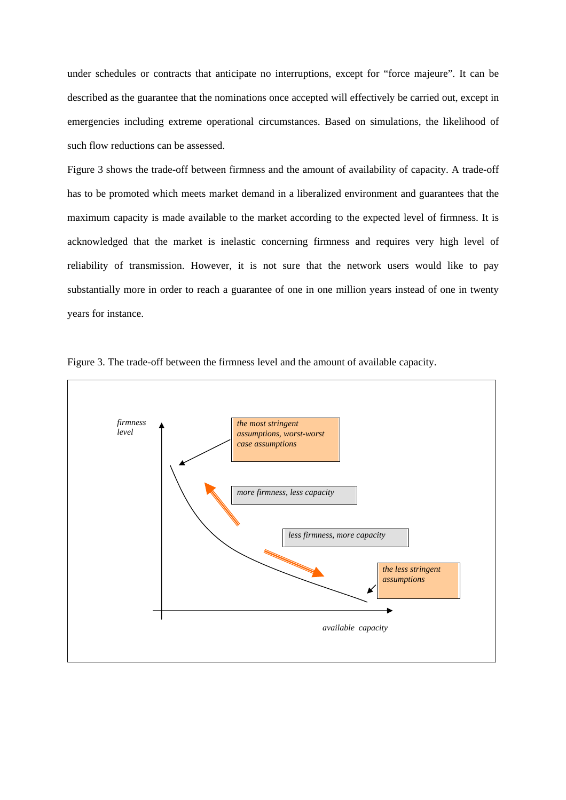under schedules or contracts that anticipate no interruptions, except for "force majeure". It can be described as the guarantee that the nominations once accepted will effectively be carried out, except in emergencies including extreme operational circumstances. Based on simulations, the likelihood of such flow reductions can be assessed.

Figure 3 shows the trade-off between firmness and the amount of availability of capacity. A trade-off has to be promoted which meets market demand in a liberalized environment and guarantees that the maximum capacity is made available to the market according to the expected level of firmness. It is acknowledged that the market is inelastic concerning firmness and requires very high level of reliability of transmission. However, it is not sure that the network users would like to pay substantially more in order to reach a guarantee of one in one million years instead of one in twenty years for instance.



Figure 3. The trade-off between the firmness level and the amount of available capacity.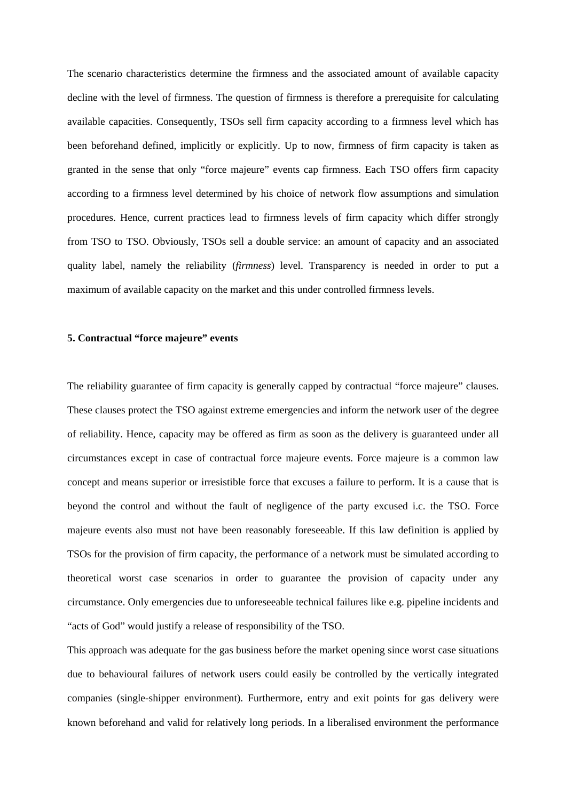The scenario characteristics determine the firmness and the associated amount of available capacity decline with the level of firmness. The question of firmness is therefore a prerequisite for calculating available capacities. Consequently, TSOs sell firm capacity according to a firmness level which has been beforehand defined, implicitly or explicitly. Up to now, firmness of firm capacity is taken as granted in the sense that only "force majeure" events cap firmness. Each TSO offers firm capacity according to a firmness level determined by his choice of network flow assumptions and simulation procedures. Hence, current practices lead to firmness levels of firm capacity which differ strongly from TSO to TSO. Obviously, TSOs sell a double service: an amount of capacity and an associated quality label, namely the reliability (*firmness*) level. Transparency is needed in order to put a maximum of available capacity on the market and this under controlled firmness levels.

# **5. Contractual "force majeure" events**

The reliability guarantee of firm capacity is generally capped by contractual "force majeure" clauses. These clauses protect the TSO against extreme emergencies and inform the network user of the degree of reliability. Hence, capacity may be offered as firm as soon as the delivery is guaranteed under all circumstances except in case of contractual force majeure events. Force majeure is a common law concept and means superior or irresistible force that excuses a failure to perform. It is a cause that is beyond the control and without the fault of negligence of the party excused i.c. the TSO. Force majeure events also must not have been reasonably foreseeable. If this law definition is applied by TSOs for the provision of firm capacity, the performance of a network must be simulated according to theoretical worst case scenarios in order to guarantee the provision of capacity under any circumstance. Only emergencies due to unforeseeable technical failures like e.g. pipeline incidents and "acts of God" would justify a release of responsibility of the TSO.

This approach was adequate for the gas business before the market opening since worst case situations due to behavioural failures of network users could easily be controlled by the vertically integrated companies (single-shipper environment). Furthermore, entry and exit points for gas delivery were known beforehand and valid for relatively long periods. In a liberalised environment the performance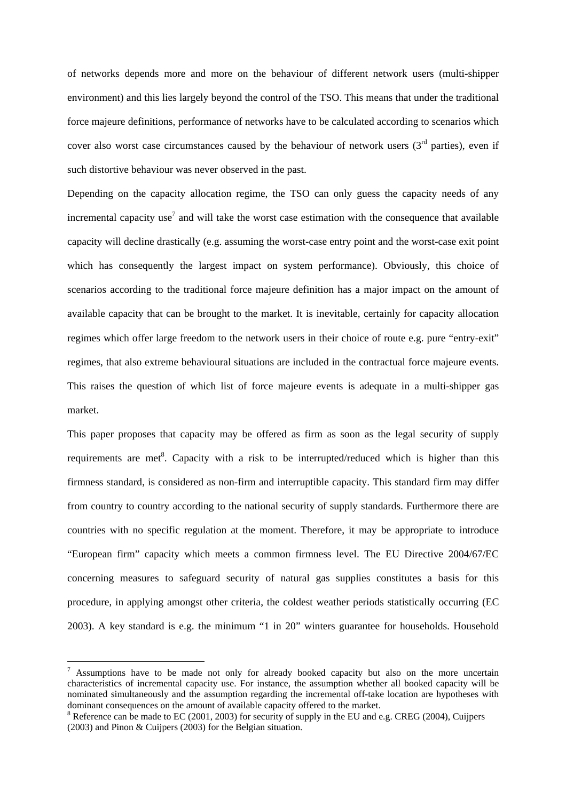of networks depends more and more on the behaviour of different network users (multi-shipper environment) and this lies largely beyond the control of the TSO. This means that under the traditional force majeure definitions, performance of networks have to be calculated according to scenarios which cover also worst case circumstances caused by the behaviour of network users  $(3<sup>rd</sup>$  parties), even if such distortive behaviour was never observed in the past.

Depending on the capacity allocation regime, the TSO can only guess the capacity needs of any incremental capacity use<sup>7</sup> and will take the worst case estimation with the consequence that available capacity will decline drastically (e.g. assuming the worst-case entry point and the worst-case exit point which has consequently the largest impact on system performance). Obviously, this choice of scenarios according to the traditional force majeure definition has a major impact on the amount of available capacity that can be brought to the market. It is inevitable, certainly for capacity allocation regimes which offer large freedom to the network users in their choice of route e.g. pure "entry-exit" regimes, that also extreme behavioural situations are included in the contractual force majeure events. This raises the question of which list of force majeure events is adequate in a multi-shipper gas market.

This paper proposes that capacity may be offered as firm as soon as the legal security of supply requirements are met<sup>8</sup>. Capacity with a risk to be interrupted/reduced which is higher than this firmness standard, is considered as non-firm and interruptible capacity. This standard firm may differ from country to country according to the national security of supply standards. Furthermore there are countries with no specific regulation at the moment. Therefore, it may be appropriate to introduce "European firm" capacity which meets a common firmness level. The EU Directive 2004/67/EC concerning measures to safeguard security of natural gas supplies constitutes a basis for this procedure, in applying amongst other criteria, the coldest weather periods statistically occurring (EC 2003). A key standard is e.g. the minimum "1 in 20" winters guarantee for households. Household

1

 $7$  Assumptions have to be made not only for already booked capacity but also on the more uncertain characteristics of incremental capacity use. For instance, the assumption whether all booked capacity will be nominated simultaneously and the assumption regarding the incremental off-take location are hypotheses with dominant consequences on the amount of available capacity offered to the market.

 $8$  Reference can be made to EC (2001, 2003) for security of supply in the EU and e.g. CREG (2004), Cuijpers (2003) and Pinon & Cuijpers (2003) for the Belgian situation.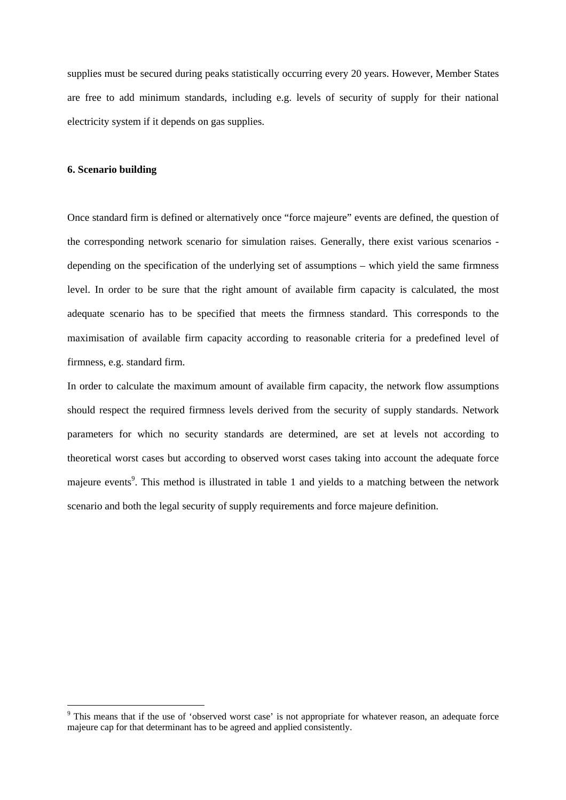supplies must be secured during peaks statistically occurring every 20 years. However, Member States are free to add minimum standards, including e.g. levels of security of supply for their national electricity system if it depends on gas supplies.

#### **6. Scenario building**

1

Once standard firm is defined or alternatively once "force majeure" events are defined, the question of the corresponding network scenario for simulation raises. Generally, there exist various scenarios depending on the specification of the underlying set of assumptions – which yield the same firmness level. In order to be sure that the right amount of available firm capacity is calculated, the most adequate scenario has to be specified that meets the firmness standard. This corresponds to the maximisation of available firm capacity according to reasonable criteria for a predefined level of firmness, e.g. standard firm.

In order to calculate the maximum amount of available firm capacity, the network flow assumptions should respect the required firmness levels derived from the security of supply standards. Network parameters for which no security standards are determined, are set at levels not according to theoretical worst cases but according to observed worst cases taking into account the adequate force majeure events<sup>9</sup>. This method is illustrated in table 1 and yields to a matching between the network scenario and both the legal security of supply requirements and force majeure definition.

<sup>&</sup>lt;sup>9</sup> This means that if the use of 'observed worst case' is not appropriate for whatever reason, an adequate force majeure cap for that determinant has to be agreed and applied consistently.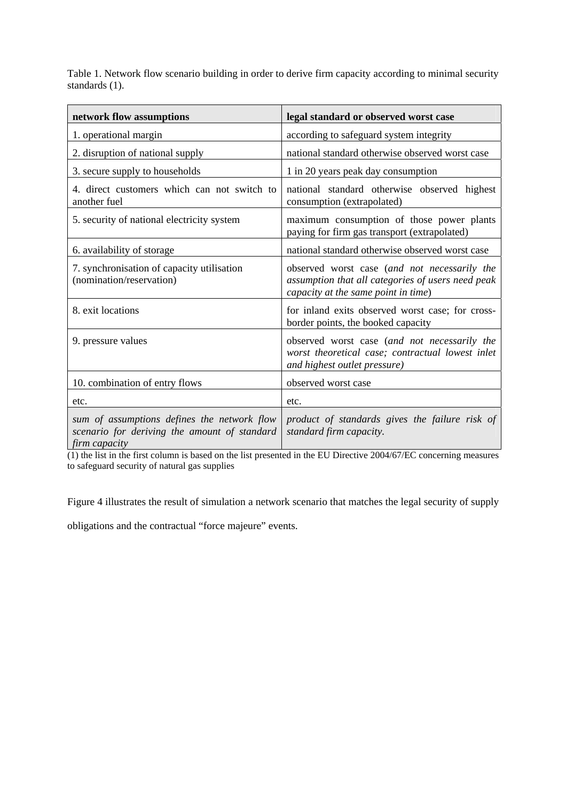Table 1. Network flow scenario building in order to derive firm capacity according to minimal security standards (1).

| network flow assumptions                                                                                     | legal standard or observed worst case                                                                                                    |
|--------------------------------------------------------------------------------------------------------------|------------------------------------------------------------------------------------------------------------------------------------------|
| 1. operational margin                                                                                        | according to safeguard system integrity                                                                                                  |
| 2. disruption of national supply                                                                             | national standard otherwise observed worst case                                                                                          |
| 3. secure supply to households                                                                               | 1 in 20 years peak day consumption                                                                                                       |
| 4. direct customers which can not switch to<br>another fuel                                                  | national standard otherwise observed highest<br>consumption (extrapolated)                                                               |
| 5. security of national electricity system                                                                   | maximum consumption of those power plants<br>paying for firm gas transport (extrapolated)                                                |
| 6. availability of storage                                                                                   | national standard otherwise observed worst case                                                                                          |
| 7. synchronisation of capacity utilisation<br>(nomination/reservation)                                       | observed worst case (and not necessarily the<br>assumption that all categories of users need peak<br>capacity at the same point in time) |
| 8. exit locations                                                                                            | for inland exits observed worst case; for cross-<br>border points, the booked capacity                                                   |
| 9. pressure values                                                                                           | observed worst case (and not necessarily the<br>worst theoretical case; contractual lowest inlet<br>and highest outlet pressure)         |
| 10. combination of entry flows                                                                               | observed worst case                                                                                                                      |
| etc.                                                                                                         | etc.                                                                                                                                     |
| sum of assumptions defines the network flow<br>scenario for deriving the amount of standard<br>firm capacity | product of standards gives the failure risk of<br>standard firm capacity.                                                                |

(1) the list in the first column is based on the list presented in the EU Directive 2004/67/EC concerning measures to safeguard security of natural gas supplies

Figure 4 illustrates the result of simulation a network scenario that matches the legal security of supply

obligations and the contractual "force majeure" events.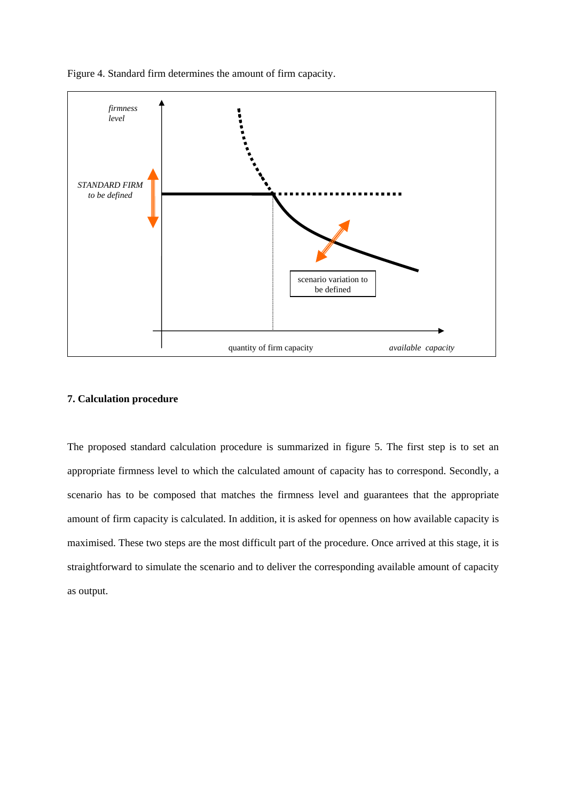

Figure 4. Standard firm determines the amount of firm capacity.

## **7. Calculation procedure**

The proposed standard calculation procedure is summarized in figure 5. The first step is to set an appropriate firmness level to which the calculated amount of capacity has to correspond. Secondly, a scenario has to be composed that matches the firmness level and guarantees that the appropriate amount of firm capacity is calculated. In addition, it is asked for openness on how available capacity is maximised. These two steps are the most difficult part of the procedure. Once arrived at this stage, it is straightforward to simulate the scenario and to deliver the corresponding available amount of capacity as output.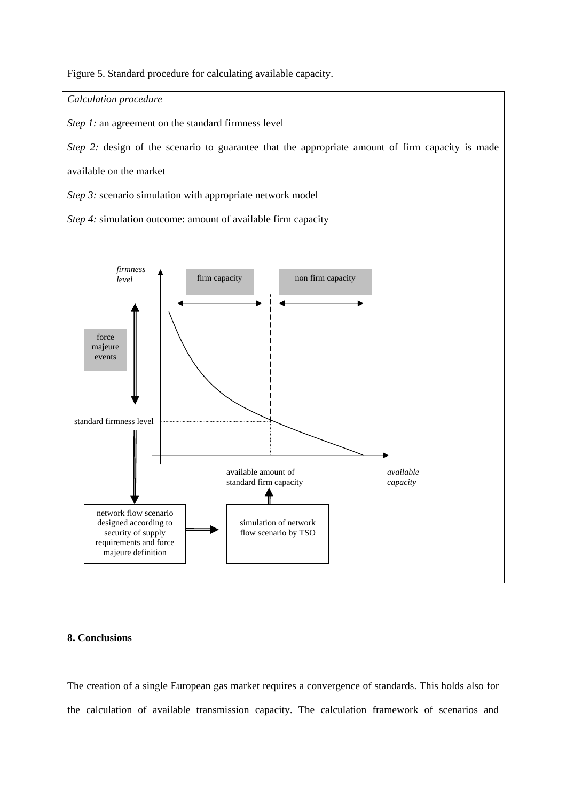Figure 5. Standard procedure for calculating available capacity.



#### **8. Conclusions**

The creation of a single European gas market requires a convergence of standards. This holds also for the calculation of available transmission capacity. The calculation framework of scenarios and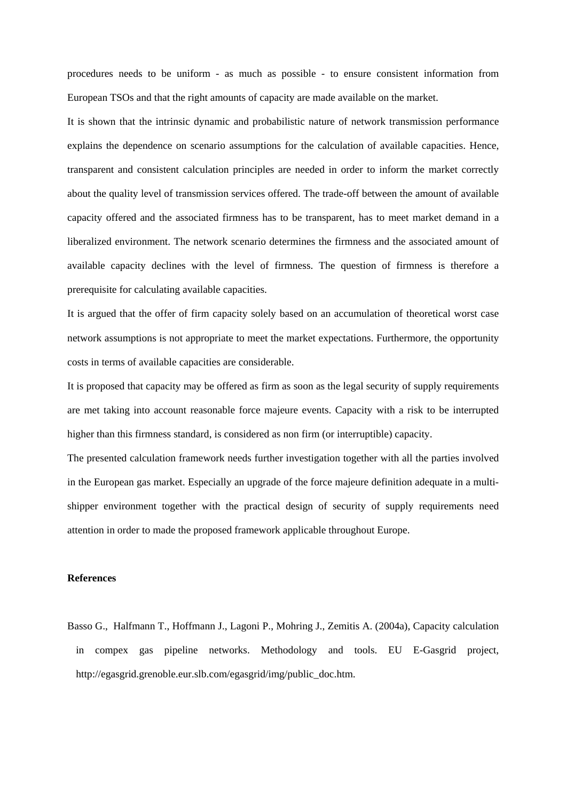procedures needs to be uniform - as much as possible - to ensure consistent information from European TSOs and that the right amounts of capacity are made available on the market.

It is shown that the intrinsic dynamic and probabilistic nature of network transmission performance explains the dependence on scenario assumptions for the calculation of available capacities. Hence, transparent and consistent calculation principles are needed in order to inform the market correctly about the quality level of transmission services offered. The trade-off between the amount of available capacity offered and the associated firmness has to be transparent, has to meet market demand in a liberalized environment. The network scenario determines the firmness and the associated amount of available capacity declines with the level of firmness. The question of firmness is therefore a prerequisite for calculating available capacities.

It is argued that the offer of firm capacity solely based on an accumulation of theoretical worst case network assumptions is not appropriate to meet the market expectations. Furthermore, the opportunity costs in terms of available capacities are considerable.

It is proposed that capacity may be offered as firm as soon as the legal security of supply requirements are met taking into account reasonable force majeure events. Capacity with a risk to be interrupted higher than this firmness standard, is considered as non firm (or interruptible) capacity.

The presented calculation framework needs further investigation together with all the parties involved in the European gas market. Especially an upgrade of the force majeure definition adequate in a multishipper environment together with the practical design of security of supply requirements need attention in order to made the proposed framework applicable throughout Europe.

## **References**

Basso G., Halfmann T., Hoffmann J., Lagoni P., Mohring J., Zemitis A. (2004a), Capacity calculation in compex gas pipeline networks. Methodology and tools. EU E-Gasgrid project, http://egasgrid.grenoble.eur.slb.com/egasgrid/img/public\_doc.htm.